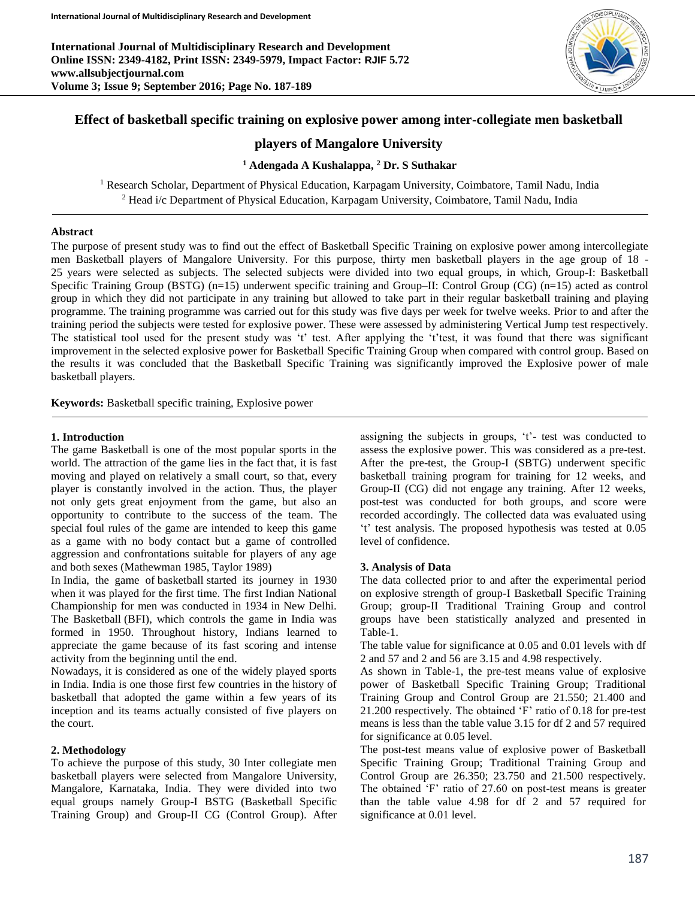**International Journal of Multidisciplinary Research and Development Online ISSN: 2349-4182, Print ISSN: 2349-5979, Impact Factor: RJIF 5.72 www.allsubjectjournal.com Volume 3; Issue 9; September 2016; Page No. 187-189**



# **Effect of basketball specific training on explosive power among inter-collegiate men basketball**

# **players of Mangalore University**

#### **<sup>1</sup> Adengada A Kushalappa, <sup>2</sup> Dr. S Suthakar**

<sup>1</sup> Research Scholar, Department of Physical Education, Karpagam University, Coimbatore, Tamil Nadu, India <sup>2</sup> Head i/c Department of Physical Education, Karpagam University, Coimbatore, Tamil Nadu, India

#### **Abstract**

The purpose of present study was to find out the effect of Basketball Specific Training on explosive power among intercollegiate men Basketball players of Mangalore University. For this purpose, thirty men basketball players in the age group of 18 - 25 years were selected as subjects. The selected subjects were divided into two equal groups, in which, Group-I: Basketball Specific Training Group (BSTG) (n=15) underwent specific training and Group–II: Control Group (CG) (n=15) acted as control group in which they did not participate in any training but allowed to take part in their regular basketball training and playing programme. The training programme was carried out for this study was five days per week for twelve weeks. Prior to and after the training period the subjects were tested for explosive power. These were assessed by administering Vertical Jump test respectively. The statistical tool used for the present study was 't' test. After applying the 't'test, it was found that there was significant improvement in the selected explosive power for Basketball Specific Training Group when compared with control group. Based on the results it was concluded that the Basketball Specific Training was significantly improved the Explosive power of male basketball players.

**Keywords:** Basketball specific training, Explosive power

#### **1. Introduction**

The game Basketball is one of the most popular sports in the world. The attraction of the game lies in the fact that, it is fast moving and played on relatively a small court, so that, every player is constantly involved in the action. Thus, the player not only gets great enjoyment from the game, but also an opportunity to contribute to the success of the team. The special foul rules of the game are intended to keep this game as a game with no body contact but a game of controlled aggression and confrontations suitable for players of any age and both sexes (Mathewman 1985, Taylor 1989)

In India, the game of basketball started its journey in 1930 when it was played for the first time. The first Indian National Championship for men was conducted in 1934 in New Delhi. The Basketball (BFI), which controls the game in India was formed in 1950. Throughout history, Indians learned to appreciate the game because of its fast scoring and intense activity from the beginning until the end.

Nowadays, it is considered as one of the widely played sports in India. India is one those first few countries in the history of basketball that adopted the game within a few years of its inception and its teams actually consisted of five players on the court.

### **2. Methodology**

To achieve the purpose of this study, 30 Inter collegiate men basketball players were selected from Mangalore University, Mangalore, Karnataka, India. They were divided into two equal groups namely Group-I BSTG (Basketball Specific Training Group) and Group-II CG (Control Group). After assigning the subjects in groups, 't'- test was conducted to assess the explosive power. This was considered as a pre-test. After the pre-test, the Group-I (SBTG) underwent specific basketball training program for training for 12 weeks, and Group-II (CG) did not engage any training. After 12 weeks, post-test was conducted for both groups, and score were recorded accordingly. The collected data was evaluated using 't' test analysis. The proposed hypothesis was tested at 0.05 level of confidence.

### **3. Analysis of Data**

The data collected prior to and after the experimental period on explosive strength of group-I Basketball Specific Training Group; group-II Traditional Training Group and control groups have been statistically analyzed and presented in Table-1.

The table value for significance at 0.05 and 0.01 levels with df 2 and 57 and 2 and 56 are 3.15 and 4.98 respectively.

As shown in Table-1, the pre-test means value of explosive power of Basketball Specific Training Group; Traditional Training Group and Control Group are 21.550; 21.400 and 21.200 respectively. The obtained 'F' ratio of 0.18 for pre-test means is less than the table value 3.15 for df 2 and 57 required for significance at 0.05 level.

The post-test means value of explosive power of Basketball Specific Training Group; Traditional Training Group and Control Group are 26.350; 23.750 and 21.500 respectively. The obtained 'F' ratio of 27.60 on post-test means is greater than the table value 4.98 for df 2 and 57 required for significance at 0.01 level.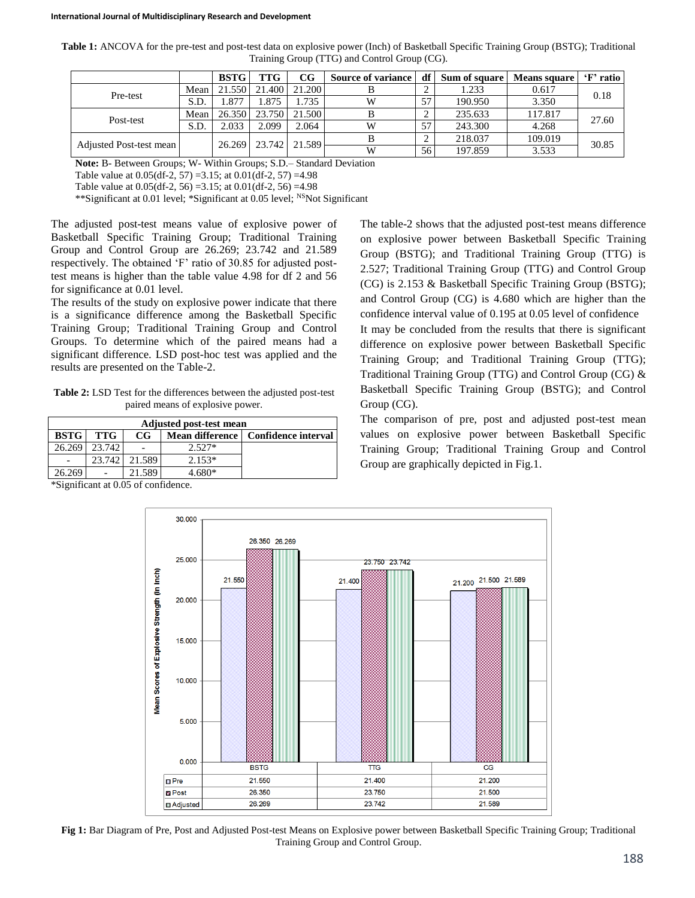| Table 1: ANCOVA for the pre-test and post-test data on explosive power (Inch) of Basketball Specific Training Group (BSTG); Traditional |  |
|-----------------------------------------------------------------------------------------------------------------------------------------|--|
| Training Group (TTG) and Control Group (CG).                                                                                            |  |

|                         |      | <b>BSTG</b> | <b>TTG</b> | $_{\rm CG}$ | <b>Source of variance</b> | df | Sum of square | Means square | 'F' ratio |
|-------------------------|------|-------------|------------|-------------|---------------------------|----|---------------|--------------|-----------|
| Pre-test                | Mean | 21.550      | 21.400     | 21.200      |                           |    | 1.233         | 0.617        | 0.18      |
|                         | S.D. | .877        | 1.875      | .735        | W                         | 57 | 190.950       | 3.350        |           |
| Post-test               | Mean | 26.350      | 23.750     | 21.500      |                           |    | 235.633       | 117.817      | 27.60     |
|                         | S.D. | 2.033       | 2.099      | 2.064       | W                         | 57 | 243.300       | 4.268        |           |
|                         |      | 26.269      | 23.742     | 21.589      |                           |    | 218.037       | 109.019      | 30.85     |
| Adjusted Post-test mean |      |             |            |             | W                         | 56 | 197.859       | 3.533        |           |

**Note:** B- Between Groups; W- Within Groups; S.D.– Standard Deviation

Table value at  $0.05$ (df-2, 57) =3.15; at  $0.01$ (df-2, 57) =4.98

Table value at 0.05(df-2, 56) =3.15; at 0.01(df-2, 56) =4.98

\*\*Significant at 0.01 level; \*Significant at 0.05 level; NSNot Significant

The adjusted post-test means value of explosive power of Basketball Specific Training Group; Traditional Training Group and Control Group are 26.269; 23.742 and 21.589 respectively. The obtained 'F' ratio of 30.85 for adjusted posttest means is higher than the table value 4.98 for df 2 and 56 for significance at 0.01 level.

The results of the study on explosive power indicate that there is a significance difference among the Basketball Specific Training Group; Traditional Training Group and Control Groups. To determine which of the paired means had a significant difference. LSD post-hoc test was applied and the results are presented on the Table-2.

**Table 2:** LSD Test for the differences between the adjusted post-test paired means of explosive power.

| <b>Adjusted post-test mean</b> |            |             |          |                                       |  |  |  |  |  |  |
|--------------------------------|------------|-------------|----------|---------------------------------------|--|--|--|--|--|--|
| <b>BSTG</b>                    | <b>TTG</b> | $_{\rm CG}$ |          | Mean difference   Confidence interval |  |  |  |  |  |  |
| 26.269                         | 23.742     |             | $2.527*$ |                                       |  |  |  |  |  |  |
|                                | 23.742     | 21.589      | $2.153*$ |                                       |  |  |  |  |  |  |
| 26.269                         |            | 21.589      | 680*     |                                       |  |  |  |  |  |  |

\*Significant at 0.05 of confidence.

The table-2 shows that the adjusted post-test means difference on explosive power between Basketball Specific Training Group (BSTG); and Traditional Training Group (TTG) is 2.527; Traditional Training Group (TTG) and Control Group (CG) is 2.153 & Basketball Specific Training Group (BSTG); and Control Group (CG) is 4.680 which are higher than the confidence interval value of 0.195 at 0.05 level of confidence It may be concluded from the results that there is significant difference on explosive power between Basketball Specific Training Group; and Traditional Training Group (TTG); Traditional Training Group (TTG) and Control Group (CG) & Basketball Specific Training Group (BSTG); and Control Group (CG).

The comparison of pre, post and adjusted post-test mean values on explosive power between Basketball Specific Training Group; Traditional Training Group and Control Group are graphically depicted in Fig.1.



**Fig 1:** Bar Diagram of Pre, Post and Adjusted Post-test Means on Explosive power between Basketball Specific Training Group; Traditional Training Group and Control Group.